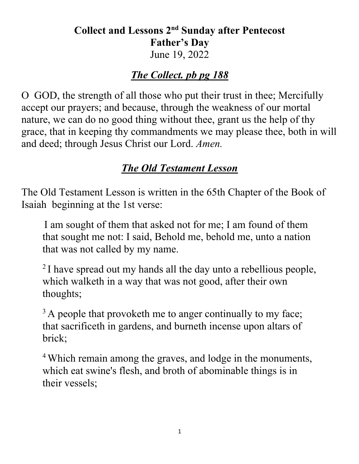### **Collect and Lessons 2nd Sunday after Pentecost Father's Day** June 19, 2022

### *The Collect. pb pg 188*

O GOD, the strength of all those who put their trust in thee; Mercifully accept our prayers; and because, through the weakness of our mortal nature, we can do no good thing without thee, grant us the help of thy grace, that in keeping thy commandments we may please thee, both in will and deed; through Jesus Christ our Lord. *Amen.*

## *The Old Testament Lesson*

The Old Testament Lesson is written in the 65th Chapter of the Book of Isaiah beginning at the 1st verse:

I am sought of them that asked not for me; I am found of them that sought me not: I said, Behold me, behold me, unto a nation that was not called by my name.

<sup>2</sup> I have spread out my hands all the day unto a rebellious people, which walketh in a way that was not good, after their own thoughts;

 $3$  A people that provoketh me to anger continually to my face; that sacrificeth in gardens, and burneth incense upon altars of brick;

<sup>4</sup> Which remain among the graves, and lodge in the monuments, which eat swine's flesh, and broth of abominable things is in their vessels;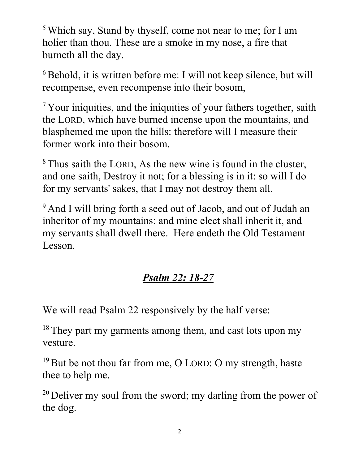<sup>5</sup> Which say, Stand by thyself, come not near to me; for I am holier than thou. These are a smoke in my nose, a fire that burneth all the day.

 $6$ Behold, it is written before me: I will not keep silence, but will recompense, even recompense into their bosom,

<sup>7</sup> Your iniquities, and the iniquities of your fathers together, saith the LORD, which have burned incense upon the mountains, and blasphemed me upon the hills: therefore will I measure their former work into their bosom.

<sup>8</sup> Thus saith the LORD, As the new wine is found in the cluster, and one saith, Destroy it not; for a blessing is in it: so will I do for my servants' sakes, that I may not destroy them all.

<sup>9</sup> And I will bring forth a seed out of Jacob, and out of Judah an inheritor of my mountains: and mine elect shall inherit it, and my servants shall dwell there. Here endeth the Old Testament Lesson.

# *Psalm 22: 18-27*

We will read Psalm 22 responsively by the half verse:

<sup>18</sup> They part my garments among them, and cast lots upon my vesture.

 $19$  But be not thou far from me, O LORD: O my strength, haste thee to help me.

<sup>20</sup> Deliver my soul from the sword; my darling from the power of the dog.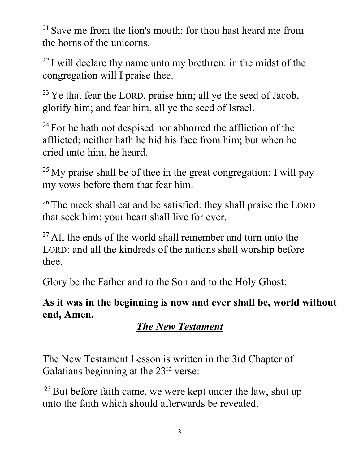<sup>21</sup> Save me from the lion's mouth: for thou hast heard me from the horns of the unicorns.

 $22$  I will declare thy name unto my brethren: in the midst of the congregation will I praise thee.

 $23$  Ye that fear the LORD, praise him; all ye the seed of Jacob, glorify him; and fear him, all ye the seed of Israel.

 $24$  For he hath not despised nor abhorred the affliction of the afflicted; neither hath he hid his face from him; but when he cried unto him, he heard.

 $25$  My praise shall be of thee in the great congregation: I will pay my vows before them that fear him.

<sup>26</sup> The meek shall eat and be satisfied: they shall praise the LORD that seek him: your heart shall live for ever.

 $27$  All the ends of the world shall remember and turn unto the LORD: and all the kindreds of the nations shall worship before thee.

Glory be the Father and to the Son and to the Holy Ghost;

**As it was in the beginning is now and ever shall be, world without end, Amen.**

# *The New Testament*

The New Testament Lesson is written in the 3rd Chapter of Galatians beginning at the 23<sup>rd</sup> verse:

 $23$  But before faith came, we were kept under the law, shut up unto the faith which should afterwards be revealed.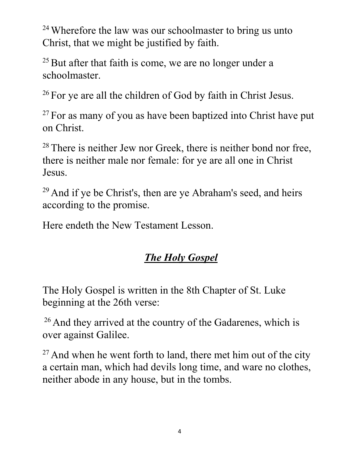<sup>24</sup> Wherefore the law was our schoolmaster to bring us unto Christ, that we might be justified by faith.

 $25$  But after that faith is come, we are no longer under a schoolmaster.

<sup>26</sup> For ye are all the children of God by faith in Christ Jesus.

 $27$  For as many of you as have been baptized into Christ have put on Christ.

<sup>28</sup> There is neither Jew nor Greek, there is neither bond nor free, there is neither male nor female: for ye are all one in Christ Jesus.

 $29$  And if ye be Christ's, then are ye Abraham's seed, and heirs according to the promise.

Here endeth the New Testament Lesson.

# *The Holy Gospel*

The Holy Gospel is written in the 8th Chapter of St. Luke beginning at the 26th verse:

 $26$  And they arrived at the country of the Gadarenes, which is over against Galilee.

 $27$  And when he went forth to land, there met him out of the city a certain man, which had devils long time, and ware no clothes, neither abode in any house, but in the tombs.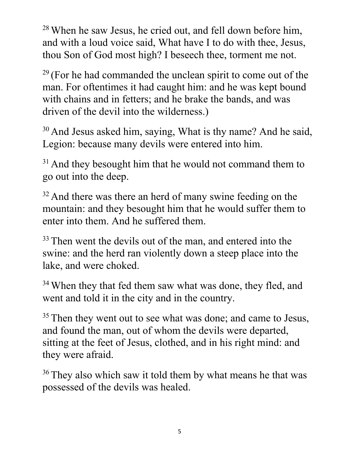<sup>28</sup> When he saw Jesus, he cried out, and fell down before him, and with a loud voice said, What have I to do with thee, Jesus, thou Son of God most high? I beseech thee, torment me not.

 $29$  (For he had commanded the unclean spirit to come out of the man. For oftentimes it had caught him: and he was kept bound with chains and in fetters; and he brake the bands, and was driven of the devil into the wilderness.)

 $30$  And Jesus asked him, saying, What is thy name? And he said, Legion: because many devils were entered into him.

 $31$  And they besought him that he would not command them to go out into the deep.

 $32$  And there was there an herd of many swine feeding on the mountain: and they besought him that he would suffer them to enter into them. And he suffered them.

<sup>33</sup> Then went the devils out of the man, and entered into the swine: and the herd ran violently down a steep place into the lake, and were choked.

<sup>34</sup> When they that fed them saw what was done, they fled, and went and told it in the city and in the country.

 $35$  Then they went out to see what was done; and came to Jesus, and found the man, out of whom the devils were departed, sitting at the feet of Jesus, clothed, and in his right mind: and they were afraid.

<sup>36</sup> They also which saw it told them by what means he that was possessed of the devils was healed.